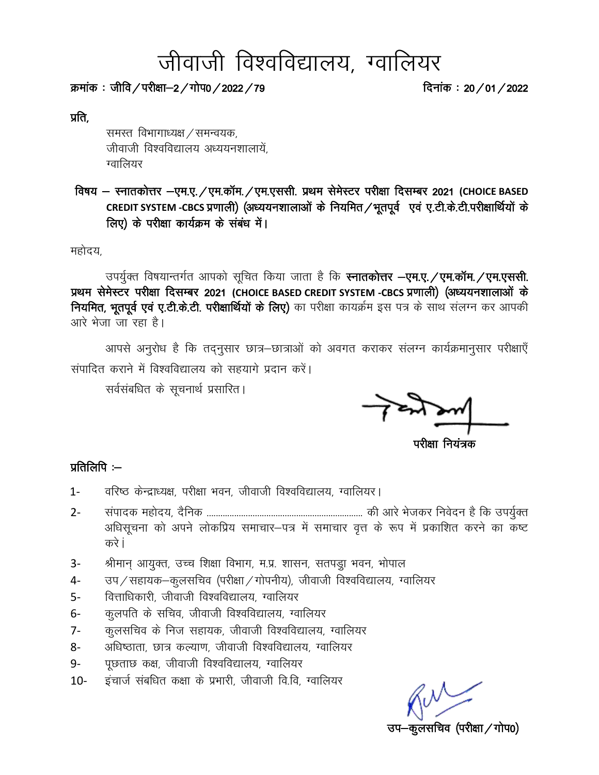# जीवाजी विश्वविद्यालय, ग्वालियर

Øekad % thfo@ijh{kk&2@xk si0@2022@79 fnukad % 20@01@2022

प्रति,

समस्त विभागाध्यक्ष / समन्वयक, जीवाजी विश्वविद्यालय अध्ययनशालायें. ग्वालियर

 fo"k; & LukrdksÙkj &,e-,-@,e-dkWe-@,e-,llh- izFke lse sLVj ijh{kk fnlEcj 2021 **(CHOICE BASED**  CREDIT SYSTEM -CBCS प्रणाली) (अध्ययनशालाओं के नियमित / भूतपूर्व एवं ए.टी.के.टी.परीक्षार्थियों के लिए) के परीक्षा कार्यक्रम के संबंध में।

महोदय,

उपर्यूक्त विषयान्तर्गत आपको सूचित किया जाता है कि स्नातकोत्तर -एम.ए. /एम.कॉम. /एम.एससी. प्रथम सेमेस्टर परीक्षा दिसम्बर 2021 (CHOICE BASED CREDIT SYSTEM -CBCS प्रणाली) (अध्ययनशालाओं के नियमित, भूतपूर्व एवं ए.टी.के.टी. परीक्षार्थियों के लिए) का परीक्षा कायर्क्रम इस पत्र के साथ संलग्न कर आपकी आरे भेजा जा रहा है।

आपसे अनुरोध है कि तद्नुसार छात्र–छात्राओं को अवगत कराकर संलग्न कार्यक्रमानुसार परीक्षाएँ संपादित कराने में विश्वविद्यालय को सहयागे प्रदान करें।

सर्वसंबधित के सूचनार्थ प्रसारित।

ſ ٦

 $\alpha=1$ ijih $\alpha=1$ ijih $\alpha=1$ ijih $\alpha=1$ ijih $\alpha=1$ ijiha $\alpha=1$ ijiha $\alpha=1$ ijiha $\alpha=1$ ijiha $\alpha=1$ ijiha $\alpha=1$ ijiha $\alpha=1$ ijiha $\alpha=1$ ijiha $\alpha=1$ ijiha $\alpha=1$ ijiha $\alpha=1$ ijiha $\alpha=1$ ijiha $\alpha=1$ ijiha $\alpha=1$ ijiha $\alpha=1$ ijiha $\alpha=1$ ijiha $\alpha=$ 

#### प्रतिलिपि $:=$

- 1- वरिष्ठ केन्द्राध्यक्ष, परीक्षा भवन, जीवाजी विश्वविद्यालय, ग्वालियर।
- 2- laiknd egksn;] n Sfud -------------------------------------------------------------------- dh vkjs Hkstdj fuosnu gS fd mi;q ZDr अधिसूचना को अपने लोकप्रिय समाचार-पत्र में समाचार वृत्त के रूप में प्रकाशित करने का कष्ट करे i
- 3- श्रीमान् आयुक्त, उच्च शिक्षा विभाग, म.प्र. शासन, सतपड्रा भवन, भोपाल
- 4- जप/सहायक-कूलसचिव (परीक्षा/गोपनीय), जीवाजी विश्वविद्यालय, ग्वालियर
- 5- वित्ताधिकारी, जीवाजी विश्वविद्यालय, ग्वालियर
- 6- कुलपति के सचिव, जीवाजी विश्वविद्यालय, ग्वालियर
- 7- कुलसचिव के निज सहायक, जीवाजी विश्वविद्यालय, ग्वालियर
- 8- अधिष्ठाता, छात्र कल्याण, जीवाजी विश्वविद्यालय, ग्वालियर
- 9- पृछताछ कक्ष, जीवाजी विश्वविद्यालय, ग्वालियर
- 10- इंचार्ज संबधित कक्षा के प्रभारी, जीवाजी वि.वि, ग्वालियर

कूलसचिव (परीक्षा ⁄ गोप0)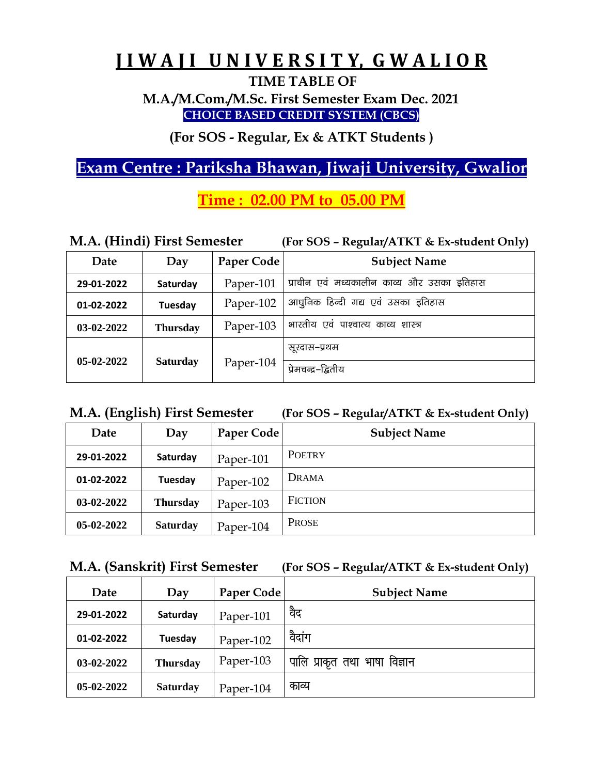## **J I W A J I U N I V E R S I T Y, G W A L I O R**

**TIME TABLE OF**

**M.A./M.Com./M.Sc. First Semester Exam Dec. 2021 CHOICE BASED CREDIT SYSTEM (CBCS)**

**(For SOS - Regular, Ex & ATKT Students )**

## **Exam Centre : Pariksha Bhawan, Jiwaji University, Gwalior**

## **Time : 02.00 PM to 05.00 PM**

| M.A. (Hindi) First Semester |                 |            | (For SOS - Regular/ATKT & Ex-student Only) |
|-----------------------------|-----------------|------------|--------------------------------------------|
| Date                        | Day             | Paper Code | <b>Subject Name</b>                        |
| 29-01-2022                  | Saturday        | Paper-101  | प्राचीन एवं मध्यकालीन काव्य और उसका इतिहास |
| 01-02-2022                  | Tuesday         | Paper-102  | आधुनिक हिन्दी गद्य एवं उसका इतिहास         |
| 03-02-2022                  | <b>Thursday</b> | Paper-103  | भारतीय एवं पाश्चात्य काव्य शास्त्र         |
|                             |                 |            | सूरदास–प्रथम                               |
| 05-02-2022                  | <b>Saturday</b> | Paper-104  | प्रेमचन्द्र–द्वितीय                        |

**M.A. (English) First Semester (For SOS – Regular/ATKT & Ex-student Only)** 

| Date         | Day             | Paper Code | <b>Subject Name</b> |
|--------------|-----------------|------------|---------------------|
| 29-01-2022   | Saturday        | Paper-101  | <b>POETRY</b>       |
| 01-02-2022   | Tuesday         | Paper-102  | DRAMA               |
| 03-02-2022   | <b>Thursday</b> | Paper-103  | <b>FICTION</b>      |
| $05-02-2022$ | <b>Saturday</b> | Paper-104  | <b>PROSE</b>        |

|  |  | M.A. (Sanskrit) First Semester | (For SOS - Regular/ATKT & Ex-student Only) |  |
|--|--|--------------------------------|--------------------------------------------|--|
|--|--|--------------------------------|--------------------------------------------|--|

| Date       | Day             | Paper Code | <b>Subject Name</b>           |
|------------|-----------------|------------|-------------------------------|
| 29-01-2022 | Saturday        | Paper-101  | वैद                           |
| 01-02-2022 | Tuesday         | Paper-102  | वैदांग                        |
| 03-02-2022 | <b>Thursday</b> | Paper-103  | पालि प्राकृत तथा भाषा विज्ञान |
| 05-02-2022 | <b>Saturday</b> | Paper-104  | काव्य                         |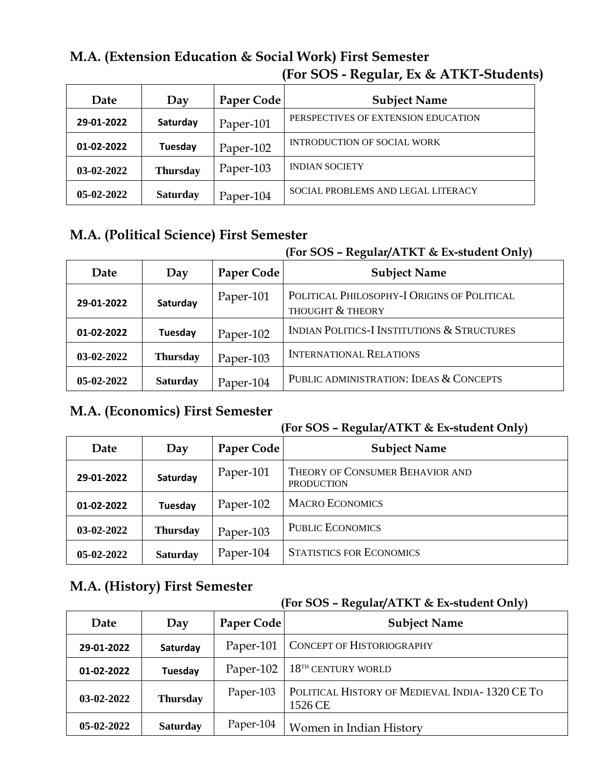## **M.A. (Extension Education & Social Work) First Semester (For SOS - Regular, Ex & ATKT-Students)**

| Date         | Day             | Paper Code | <b>Subject Name</b>                 |
|--------------|-----------------|------------|-------------------------------------|
| 29-01-2022   | Saturday        | Paper-101  | PERSPECTIVES OF EXTENSION EDUCATION |
| 01-02-2022   | Tuesday         | Paper-102  | <b>INTRODUCTION OF SOCIAL WORK</b>  |
| 03-02-2022   | <b>Thursday</b> | Paper-103  | <b>INDIAN SOCIETY</b>               |
| $05-02-2022$ | <b>Saturday</b> | Paper-104  | SOCIAL PROBLEMS AND LEGAL LITERACY  |

## **M.A. (Political Science) First Semester**

#### **(For SOS – Regular/ATKT & Ex-student Only)**

| Date         | Day             | Paper Code | <b>Subject Name</b>                                             |
|--------------|-----------------|------------|-----------------------------------------------------------------|
| 29-01-2022   | Saturday        | Paper-101  | POLITICAL PHILOSOPHY-I ORIGINS OF POLITICAL<br>THOUGHT & THEORY |
| 01-02-2022   | Tuesday         | Paper-102  | <b>INDIAN POLITICS-I INSTITUTIONS &amp; STRUCTURES</b>          |
| $03-02-2022$ | <b>Thursday</b> | Paper-103  | <b>INTERNATIONAL RELATIONS</b>                                  |
| $05-02-2022$ | <b>Saturday</b> | Paper-104  | PUBLIC ADMINISTRATION: IDEAS & CONCEPTS                         |

### **M.A. (Economics) First Semester**

#### **(For SOS – Regular/ATKT & Ex-student Only)**

| Date         | Day             | Paper Code | <b>Subject Name</b>                                  |
|--------------|-----------------|------------|------------------------------------------------------|
| 29-01-2022   | Saturday        | Paper-101  | THEORY OF CONSUMER BEHAVIOR AND<br><b>PRODUCTION</b> |
| 01-02-2022   | Tuesday         | Paper-102  | <b>MACRO ECONOMICS</b>                               |
| $03-02-2022$ | <b>Thursday</b> | Paper-103  | <b>PUBLIC ECONOMICS</b>                              |
| 05-02-2022   | <b>Saturday</b> | Paper-104  | <b>STATISTICS FOR ECONOMICS</b>                      |

## **M.A. (History) First Semester**

| Date         | Day             | Paper Code | <b>Subject Name</b>                                       |
|--------------|-----------------|------------|-----------------------------------------------------------|
| 29-01-2022   | Saturday        | Paper-101  | <b>CONCEPT OF HISTORIOGRAPHY</b>                          |
| 01-02-2022   | Tuesday         | Paper-102  | $18TH$ CENTURY WORLD                                      |
| $03-02-2022$ | <b>Thursday</b> | Paper-103  | POLITICAL HISTORY OF MEDIEVAL INDIA-1320 CE TO<br>1526 CE |
| $05-02-2022$ | <b>Saturday</b> | Paper-104  | Women in Indian History                                   |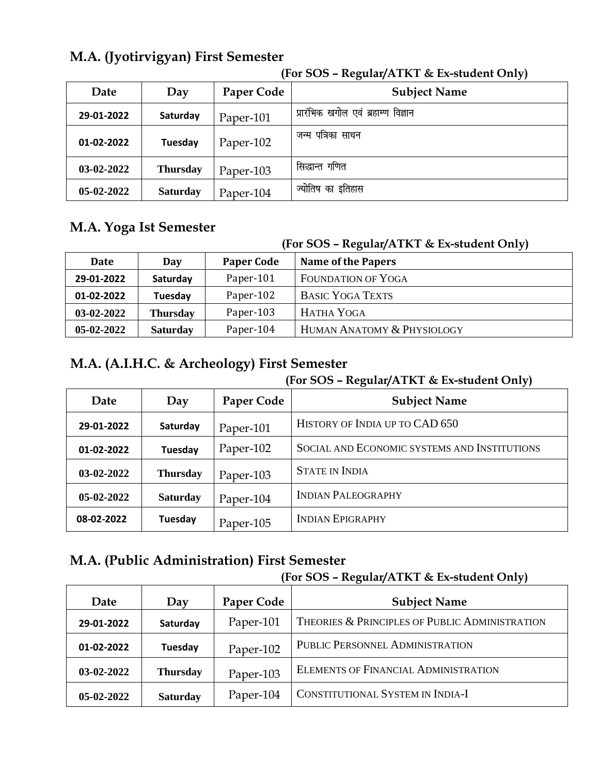## **M.A. (Jyotirvigyan) First Semester**

| Date         | Day             | Paper Code | <b>Subject Name</b>                 |
|--------------|-----------------|------------|-------------------------------------|
| 29-01-2022   | Saturday        | Paper-101  | प्रारंभिक खगोल एवं ब्रहाम्ण विज्ञान |
| 01-02-2022   | Tuesday         | Paper-102  | पत्रिका साधन<br>जन्म                |
| 03-02-2022   | <b>Thursday</b> | Paper-103  | सिद्धान्त गणित                      |
| $05-02-2022$ | <b>Saturday</b> | Paper-104  | ज्योतिष का इतिहास                   |

#### **(For SOS – Regular/ATKT & Ex-student Only)**

## **M.A. Yoga Ist Semester**

#### **(For SOS – Regular/ATKT & Ex-student Only)**

| Date         | Day             | <b>Paper Code</b> | <u>,</u><br><b>Name of the Papers</b> |
|--------------|-----------------|-------------------|---------------------------------------|
| 29-01-2022   | Saturday        | Paper-101         | <b>FOUNDATION OF YOGA</b>             |
| 01-02-2022   | Tuesday         | Paper-102         | <b>BASIC YOGA TEXTS</b>               |
| 03-02-2022   | <b>Thursday</b> | Paper-103         | HATHA YOGA                            |
| $05-02-2022$ | <b>Saturday</b> | Paper-104         | HUMAN ANATOMY & PHYSIOLOGY            |

## **M.A. (A.I.H.C. & Archeology) First Semester**

#### **(For SOS – Regular/ATKT & Ex-student Only)**

| Date         | Day             | Paper Code | <b>Subject Name</b>                          |
|--------------|-----------------|------------|----------------------------------------------|
| 29-01-2022   | Saturday        | Paper-101  | HISTORY OF INDIA UP TO CAD 650               |
| 01-02-2022   | Tuesday         | Paper-102  | SOCIAL AND ECONOMIC SYSTEMS AND INSTITUTIONS |
| 03-02-2022   | <b>Thursday</b> | Paper-103  | <b>STATE IN INDIA</b>                        |
| $05-02-2022$ | <b>Saturday</b> | Paper-104  | <b>INDIAN PALEOGRAPHY</b>                    |
| 08-02-2022   | Tuesday         | Paper-105  | <b>INDIAN EPIGRAPHY</b>                      |

#### **M.A. (Public Administration) First Semester**

| Date         | Day             | Paper Code | <b>Subject Name</b>                            |
|--------------|-----------------|------------|------------------------------------------------|
| 29-01-2022   | Saturday        | Paper-101  | THEORIES & PRINCIPLES OF PUBLIC ADMINISTRATION |
| 01-02-2022   | Tuesday         | Paper-102  | PUBLIC PERSONNEL ADMINISTRATION                |
| 03-02-2022   | <b>Thursday</b> | Paper-103  | <b>ELEMENTS OF FINANCIAL ADMINISTRATION</b>    |
| $05-02-2022$ | <b>Saturday</b> | Paper-104  | CONSTITUTIONAL SYSTEM IN INDIA-I               |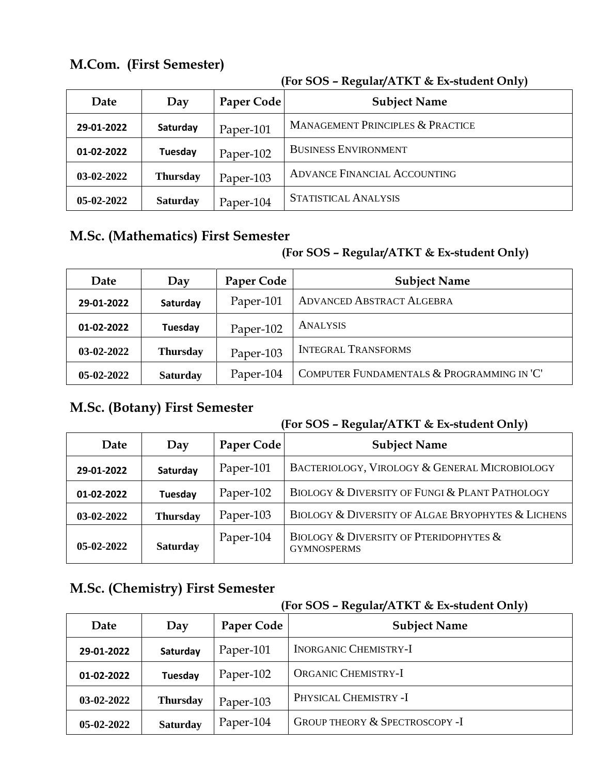## **M.Com. (First Semester)**

|            |                 |            | ,,,                                         |
|------------|-----------------|------------|---------------------------------------------|
| Date       | Day             | Paper Code | <b>Subject Name</b>                         |
| 29-01-2022 | Saturday        | Paper-101  | <b>MANAGEMENT PRINCIPLES &amp; PRACTICE</b> |
| 01-02-2022 | Tuesday         | Paper-102  | <b>BUSINESS ENVIRONMENT</b>                 |
| 03-02-2022 | <b>Thursday</b> | Paper-103  | <b>ADVANCE FINANCIAL ACCOUNTING</b>         |
| 05-02-2022 | <b>Saturday</b> | Paper-104  | <b>STATISTICAL ANALYSIS</b>                 |

#### **(For SOS – Regular/ATKT & Ex-student Only)**

## **M.Sc. (Mathematics) First Semester**

#### **(For SOS – Regular/ATKT & Ex-student Only)**

| Date         | Day             | Paper Code | <b>Subject Name</b>                        |
|--------------|-----------------|------------|--------------------------------------------|
| 29-01-2022   | Saturday        | Paper-101  | <b>ADVANCED ABSTRACT ALGEBRA</b>           |
| 01-02-2022   | Tuesday         | Paper-102  | <b>ANALYSIS</b>                            |
| 03-02-2022   | <b>Thursday</b> | Paper-103  | <b>INTEGRAL TRANSFORMS</b>                 |
| $05-02-2022$ | <b>Saturday</b> | Paper-104  | COMPUTER FUNDAMENTALS & PROGRAMMING IN 'C' |

## **M.Sc. (Botany) First Semester**

#### **(For SOS – Regular/ATKT & Ex-student Only)**

| Date         | Day             | Paper Code | <b>Subject Name</b>                                                         |
|--------------|-----------------|------------|-----------------------------------------------------------------------------|
| 29-01-2022   | Saturday        | Paper-101  | BACTERIOLOGY, VIROLOGY & GENERAL MICROBIOLOGY                               |
| 01-02-2022   | Tuesday         | Paper-102  | BIOLOGY & DIVERSITY OF FUNGI & PLANT PATHOLOGY                              |
| 03-02-2022   | <b>Thursday</b> | Paper-103  | BIOLOGY & DIVERSITY OF ALGAE BRYOPHYTES & LICHENS                           |
| $05-02-2022$ | <b>Saturday</b> | Paper-104  | <b>BIOLOGY &amp; DIVERSITY OF PTERIDOPHYTES &amp;</b><br><b>GYMNOSPERMS</b> |

## **M.Sc. (Chemistry) First Semester**

| Date         | Day             | Paper Code | <b>Subject Name</b>            |
|--------------|-----------------|------------|--------------------------------|
| 29-01-2022   | Saturday        | Paper-101  | <b>INORGANIC CHEMISTRY-I</b>   |
| 01-02-2022   | Tuesday         | Paper-102  | <b>ORGANIC CHEMISTRY-I</b>     |
| $03-02-2022$ | <b>Thursday</b> | Paper-103  | PHYSICAL CHEMISTRY -I          |
| $05-02-2022$ | <b>Saturday</b> | Paper-104  | GROUP THEORY & SPECTROSCOPY -I |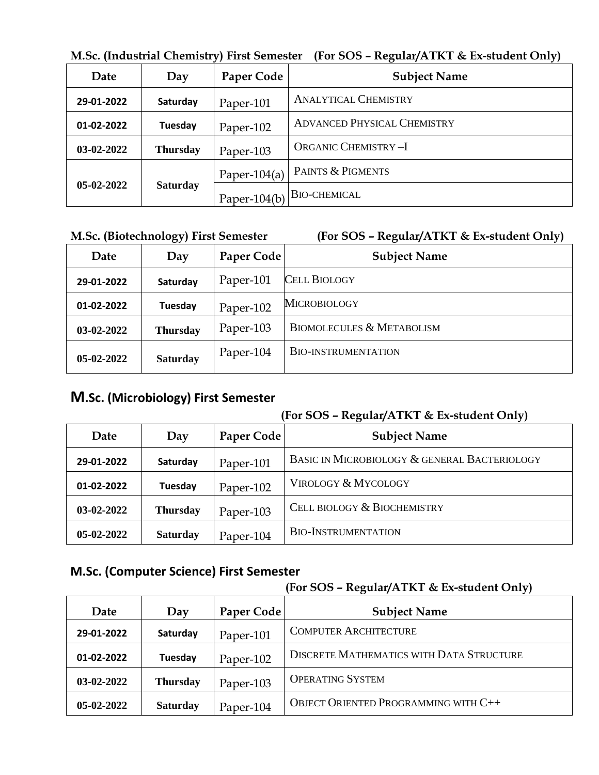|                                 |                 | <u>w.oc.</u> (maasunal Chemistry) Thist ochicsici | $\mu$ u 909 – Regulai/TTRT & Ex-student Omy |
|---------------------------------|-----------------|---------------------------------------------------|---------------------------------------------|
| Date                            | Day             | Paper Code                                        | <b>Subject Name</b>                         |
| 29-01-2022                      | Saturday        | Paper-101                                         | <b>ANALYTICAL CHEMISTRY</b>                 |
| 01-02-2022                      | Tuesday         | Paper-102                                         | <b>ADVANCED PHYSICAL CHEMISTRY</b>          |
| $03-02-2022$                    | <b>Thursday</b> | Paper-103                                         | <b>ORGANIC CHEMISTRY-I</b>                  |
|                                 |                 | Paper-104(a)                                      | <b>PAINTS &amp; PIGMENTS</b>                |
| $05-02-2022$<br><b>Saturday</b> |                 | Paper-104(b) BIO-CHEMICAL                         |                                             |

**M.Sc. (Industrial Chemistry) First Semester (For SOS – Regular/ATKT & Ex-student Only)** 

|  | M.Sc. (Biotechnology) First Semester | (For S) |
|--|--------------------------------------|---------|
|  |                                      |         |

#### (Biotechnology) First Semester (For SOS - Regular/ATKT & Ex-student Only)

| Date         | Day             | Paper Code | <b>Subject Name</b>                  |
|--------------|-----------------|------------|--------------------------------------|
| 29-01-2022   | Saturday        | Paper-101  | <b>CELL BIOLOGY</b>                  |
| 01-02-2022   | Tuesday         | Paper-102  | <b>MICROBIOLOGY</b>                  |
| 03-02-2022   | <b>Thursday</b> | Paper-103  | <b>BIOMOLECULES &amp; METABOLISM</b> |
| $05-02-2022$ | <b>Saturday</b> | Paper-104  | <b>BIO-INSTRUMENTATION</b>           |

#### **M.Sc. (Microbiology) First Semester**

#### **(For SOS – Regular/ATKT & Ex-student Only)**

| Date         | Day             | Paper Code | <b>Subject Name</b>                          |
|--------------|-----------------|------------|----------------------------------------------|
| 29-01-2022   | Saturday        | Paper-101  | BASIC IN MICROBIOLOGY & GENERAL BACTERIOLOGY |
| 01-02-2022   | Tuesday         | Paper-102  | <b>VIROLOGY &amp; MYCOLOGY</b>               |
| $03-02-2022$ | <b>Thursday</b> | Paper-103  | CELL BIOLOGY & BIOCHEMISTRY                  |
| $05-02-2022$ | <b>Saturday</b> | Paper-104  | <b>BIO-INSTRUMENTATION</b>                   |

#### **M.Sc. (Computer Science) First Semester**

| Date       | Day             | Paper Code | <b>Subject Name</b>                             |
|------------|-----------------|------------|-------------------------------------------------|
| 29-01-2022 | Saturday        | Paper-101  | <b>COMPUTER ARCHITECTURE</b>                    |
| 01-02-2022 | Tuesday         | Paper-102  | <b>DISCRETE MATHEMATICS WITH DATA STRUCTURE</b> |
| 03-02-2022 | <b>Thursday</b> | Paper-103  | <b>OPERATING SYSTEM</b>                         |
| 05-02-2022 | <b>Saturday</b> | Paper-104  | <b>OBJECT ORIENTED PROGRAMMING WITH C++</b>     |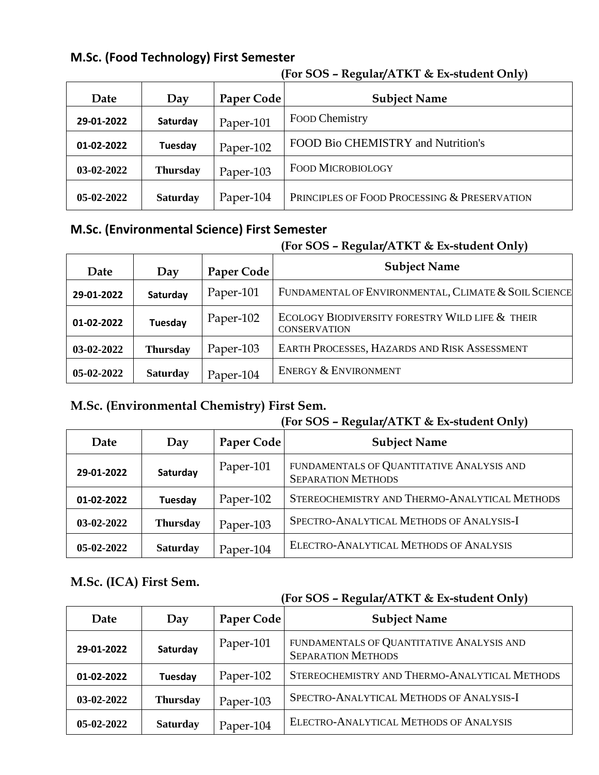#### **M.Sc. (Food Technology) First Semester**

| Date         | Day             | Paper Code | <b>Subject Name</b>                          |
|--------------|-----------------|------------|----------------------------------------------|
| 29-01-2022   | Saturday        | Paper-101  | Food Chemistry                               |
| 01-02-2022   | Tuesday         | Paper-102  | FOOD Bio CHEMISTRY and Nutrition's           |
| $03-02-2022$ | <b>Thursday</b> | Paper-103  | <b>FOOD MICROBIOLOGY</b>                     |
| $05-02-2022$ | <b>Saturday</b> | Paper-104  | PRINCIPLES OF FOOD PROCESSING & PRESERVATION |

#### **(For SOS – Regular/ATKT & Ex-student Only)**

## **M.Sc. (Environmental Science) First Semester**

#### **(For SOS – Regular/ATKT & Ex-student Only)**

| Date         | Day             | Paper Code | <b>Subject Name</b>                                                    |
|--------------|-----------------|------------|------------------------------------------------------------------------|
| 29-01-2022   | Saturday        | Paper-101  | FUNDAMENTAL OF ENVIRONMENTAL, CLIMATE & SOIL SCIENCE                   |
| 01-02-2022   | Tuesday         | Paper-102  | ECOLOGY BIODIVERSITY FORESTRY WILD LIFE & THEIR<br><b>CONSERVATION</b> |
| $03-02-2022$ | <b>Thursday</b> | Paper-103  | EARTH PROCESSES, HAZARDS AND RISK ASSESSMENT                           |
| $05-02-2022$ | <b>Saturday</b> | Paper-104  | ENERGY & ENVIRONMENT                                                   |
|              |                 |            |                                                                        |

#### **M.Sc. (Environmental Chemistry) First Sem.**

#### **(For SOS – Regular/ATKT & Ex-student Only)**

| Date       | Day             | Paper Code | <u>,</u><br><b>Subject Name</b>                                        |
|------------|-----------------|------------|------------------------------------------------------------------------|
| 29-01-2022 | Saturday        | Paper-101  | FUNDAMENTALS OF QUANTITATIVE ANALYSIS AND<br><b>SEPARATION METHODS</b> |
| 01-02-2022 | Tuesday         | Paper-102  | STEREOCHEMISTRY AND THERMO-ANALYTICAL METHODS                          |
| 03-02-2022 | <b>Thursday</b> | Paper-103  | SPECTRO-ANALYTICAL METHODS OF ANALYSIS-I                               |
| 05-02-2022 | <b>Saturday</b> | Paper-104  | ELECTRO-ANALYTICAL METHODS OF ANALYSIS                                 |

#### **M.Sc. (ICA) First Sem.**

| Date       | Day             | Paper Code | <b>Subject Name</b>                                                    |
|------------|-----------------|------------|------------------------------------------------------------------------|
| 29-01-2022 | Saturday        | Paper-101  | FUNDAMENTALS OF QUANTITATIVE ANALYSIS AND<br><b>SEPARATION METHODS</b> |
| 01-02-2022 | Tuesday         | Paper-102  | STEREOCHEMISTRY AND THERMO-ANALYTICAL METHODS                          |
| 03-02-2022 | <b>Thursday</b> | Paper-103  | SPECTRO-ANALYTICAL METHODS OF ANALYSIS-I                               |
| 05-02-2022 | <b>Saturday</b> | Paper-104  | ELECTRO-ANALYTICAL METHODS OF ANALYSIS                                 |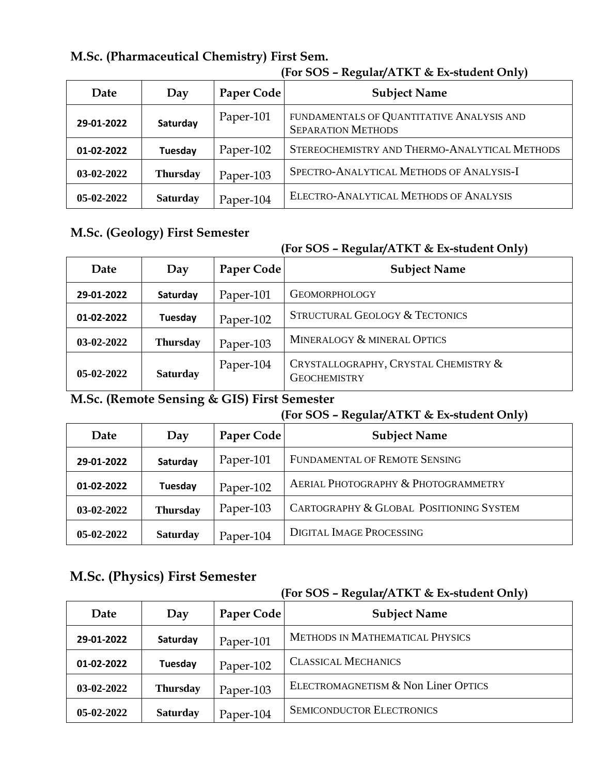|              | 11 UL UVU<br>$R_{\rm H}$ |            |                                                                        |
|--------------|--------------------------|------------|------------------------------------------------------------------------|
| Date         | Day                      | Paper Code | <b>Subject Name</b>                                                    |
| 29-01-2022   | Saturday                 | Paper-101  | FUNDAMENTALS OF QUANTITATIVE ANALYSIS AND<br><b>SEPARATION METHODS</b> |
| 01-02-2022   | Tuesday                  | Paper-102  | STEREOCHEMISTRY AND THERMO-ANALYTICAL METHODS                          |
| 03-02-2022   | <b>Thursday</b>          | Paper-103  | SPECTRO-ANALYTICAL METHODS OF ANALYSIS-I                               |
| $05-02-2022$ | <b>Saturday</b>          | Paper-104  | ELECTRO-ANALYTICAL METHODS OF ANALYSIS                                 |

## **M.Sc. (Pharmaceutical Chemistry) First Sem.**

#### **(For SOS – Regular/ATKT & Ex-student Only)**

### **M.Sc. (Geology) First Semester**

#### **(For SOS – Regular/ATKT & Ex-student Only)**

| Date         | Day             | <b>Paper Code</b> | <b>Subject Name</b>                                         |
|--------------|-----------------|-------------------|-------------------------------------------------------------|
| 29-01-2022   | Saturday        | Paper-101         | <b>GEOMORPHOLOGY</b>                                        |
| 01-02-2022   | Tuesday         | Paper-102         | <b>STRUCTURAL GEOLOGY &amp; TECTONICS</b>                   |
| $03-02-2022$ | <b>Thursday</b> | Paper-103         | MINERALOGY & MINERAL OPTICS                                 |
| $05-02-2022$ | <b>Saturday</b> | Paper-104         | CRYSTALLOGRAPHY, CRYSTAL CHEMISTRY &<br><b>GEOCHEMISTRY</b> |

#### **M.Sc. (Remote Sensing & GIS) First Semester**

#### **(For SOS – Regular/ATKT & Ex-student Only)**

| Date         | Day             | Paper Code | <b>Subject Name</b>                     |
|--------------|-----------------|------------|-----------------------------------------|
| 29-01-2022   | Saturday        | Paper-101  | FUNDAMENTAL OF REMOTE SENSING           |
| 01-02-2022   | Tuesday         | Paper-102  | AERIAL PHOTOGRAPHY & PHOTOGRAMMETRY     |
| 03-02-2022   | <b>Thursday</b> | Paper-103  | CARTOGRAPHY & GLOBAL POSITIONING SYSTEM |
| $05-02-2022$ | <b>Saturday</b> | Paper-104  | <b>DIGITAL IMAGE PROCESSING</b>         |

## **M.Sc. (Physics) First Semester**

| Date         | Day             | Paper Code | <b>Subject Name</b>                    |
|--------------|-----------------|------------|----------------------------------------|
| 29-01-2022   | Saturday        | Paper-101  | <b>METHODS IN MATHEMATICAL PHYSICS</b> |
| 01-02-2022   | Tuesday         | Paper-102  | <b>CLASSICAL MECHANICS</b>             |
| 03-02-2022   | <b>Thursday</b> | Paper-103  | ELECTROMAGNETISM & Non Liner OPTICS    |
| $05-02-2022$ | <b>Saturday</b> | Paper-104  | <b>SEMICONDUCTOR ELECTRONICS</b>       |